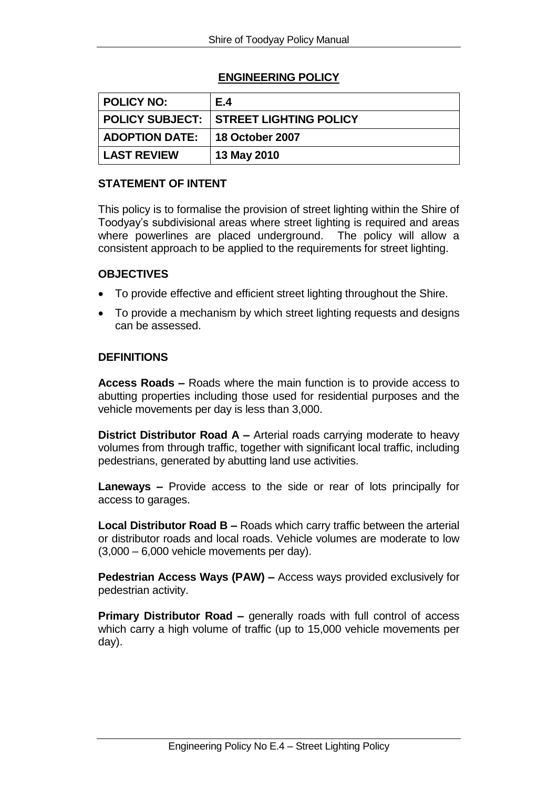# **ENGINEERING POLICY**

| <b>POLICY NO:</b>  | E.4             |
|--------------------|-----------------|
|                    |                 |
| ADOPTION DATE:     | 18 October 2007 |
| <b>LAST REVIEW</b> | 13 May 2010     |

# **STATEMENT OF INTENT**

This policy is to formalise the provision of street lighting within the Shire of Toodyay's subdivisional areas where street lighting is required and areas where powerlines are placed underground. The policy will allow a consistent approach to be applied to the requirements for street lighting.

## **OBJECTIVES**

- To provide effective and efficient street lighting throughout the Shire.
- To provide a mechanism by which street lighting requests and designs can be assessed.

## **DEFINITIONS**

**Access Roads –** Roads where the main function is to provide access to abutting properties including those used for residential purposes and the vehicle movements per day is less than 3,000.

**District Distributor Road A –** Arterial roads carrying moderate to heavy volumes from through traffic, together with significant local traffic, including pedestrians, generated by abutting land use activities.

**Laneways –** Provide access to the side or rear of lots principally for access to garages.

**Local Distributor Road B –** Roads which carry traffic between the arterial or distributor roads and local roads. Vehicle volumes are moderate to low  $(3,000 - 6,000$  vehicle movements per day).

**Pedestrian Access Ways (PAW) –** Access ways provided exclusively for pedestrian activity.

**Primary Distributor Road –** generally roads with full control of access which carry a high volume of traffic (up to 15,000 vehicle movements per day).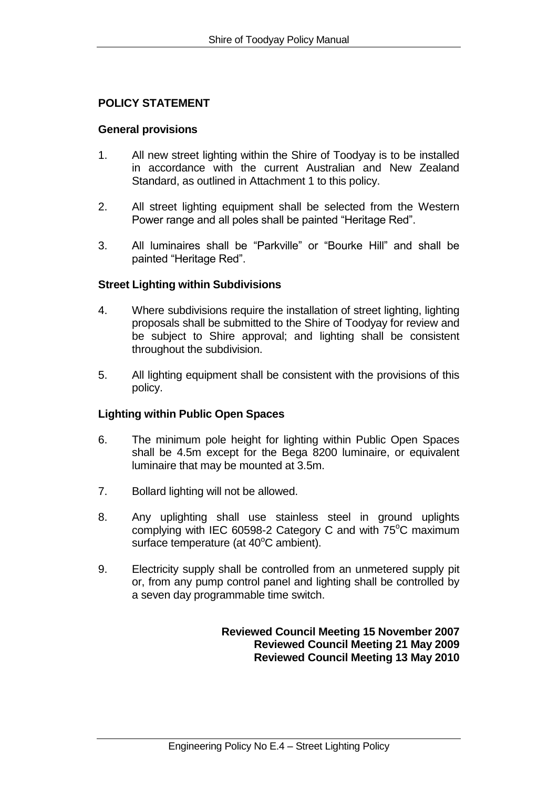# **POLICY STATEMENT**

#### **General provisions**

- 1. All new street lighting within the Shire of Toodyay is to be installed in accordance with the current Australian and New Zealand Standard, as outlined in Attachment 1 to this policy.
- 2. All street lighting equipment shall be selected from the Western Power range and all poles shall be painted "Heritage Red".
- 3. All luminaires shall be "Parkville" or "Bourke Hill" and shall be painted "Heritage Red".

## **Street Lighting within Subdivisions**

- 4. Where subdivisions require the installation of street lighting, lighting proposals shall be submitted to the Shire of Toodyay for review and be subject to Shire approval; and lighting shall be consistent throughout the subdivision.
- 5. All lighting equipment shall be consistent with the provisions of this policy.

## **Lighting within Public Open Spaces**

- 6. The minimum pole height for lighting within Public Open Spaces shall be 4.5m except for the Bega 8200 luminaire, or equivalent luminaire that may be mounted at 3.5m.
- 7. Bollard lighting will not be allowed.
- 8. Any uplighting shall use stainless steel in ground uplights complying with IEC 60598-2 Category C and with  $75^{\circ}$ C maximum surface temperature (at  $40^{\circ}$ C ambient).
- 9. Electricity supply shall be controlled from an unmetered supply pit or, from any pump control panel and lighting shall be controlled by a seven day programmable time switch.

**Reviewed Council Meeting 15 November 2007 Reviewed Council Meeting 21 May 2009 Reviewed Council Meeting 13 May 2010**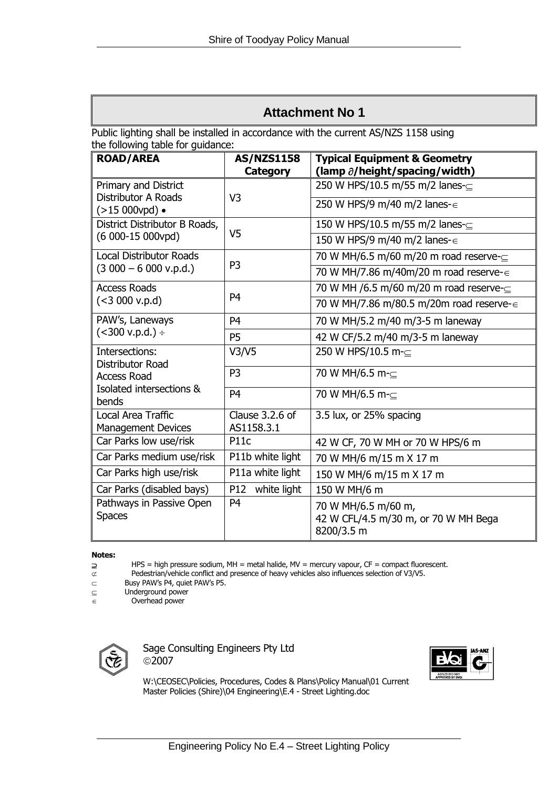# **Attachment No 1**

Public lighting shall be installed in accordance with the current AS/NZS 1158 using the following table for guidance:

| <b>ROAD/AREA</b>                                                                              | <b>AS/NZS1158</b>             | <b>Typical Equipment &amp; Geometry</b>                                   |
|-----------------------------------------------------------------------------------------------|-------------------------------|---------------------------------------------------------------------------|
|                                                                                               | Category                      | (lamp $\partial$ /height/spacing/width)                                   |
| Primary and District<br><b>Distributor A Roads</b><br>$(>15000$ vpd) •                        | V <sub>3</sub>                | 250 W HPS/10.5 m/55 m/2 lanes-⊆                                           |
|                                                                                               |                               | 250 W HPS/9 m/40 m/2 lanes- $\in$                                         |
| District Distributor B Roads,<br>(6 000-15 000vpd)                                            | V <sub>5</sub>                | 150 W HPS/10.5 m/55 m/2 lanes-⊆                                           |
|                                                                                               |                               | 150 W HPS/9 m/40 m/2 lanes-∈                                              |
| <b>Local Distributor Roads</b><br>$(3000 - 6000 v.p.d.)$                                      | P <sub>3</sub>                | 70 W MH/6.5 m/60 m/20 m road reserve- $\subseteq$                         |
|                                                                                               |                               | 70 W MH/7.86 m/40m/20 m road reserve-∈                                    |
| <b>Access Roads</b><br>(< 3000 v.p.d)                                                         | P <sub>4</sub>                | 70 W MH /6.5 m/60 m/20 m road reserve-                                    |
|                                                                                               |                               | 70 W MH/7.86 m/80.5 m/20m road reserve-∈                                  |
| PAW's, Laneways<br>$(<$ 300 v.p.d.) ÷                                                         | P <sub>4</sub>                | 70 W MH/5.2 m/40 m/3-5 m laneway                                          |
|                                                                                               | P <sub>5</sub>                | 42 W CF/5.2 m/40 m/3-5 m laneway                                          |
| Intersections:<br>Distributor Road<br><b>Access Road</b><br>Isolated intersections &<br>bends | V3/V5                         | 250 W HPS/10.5 m-⊂                                                        |
|                                                                                               | P <sub>3</sub>                | 70 W MH/6.5 m-⊂                                                           |
|                                                                                               | P <sub>4</sub>                | 70 W MH/6.5 m-⊂                                                           |
| Local Area Traffic<br><b>Management Devices</b>                                               | Clause 3.2.6 of<br>AS1158.3.1 | 3.5 lux, or 25% spacing                                                   |
| Car Parks low use/risk                                                                        | P <sub>11</sub> c             | 42 W CF, 70 W MH or 70 W HPS/6 m                                          |
| Car Parks medium use/risk                                                                     | P11b white light              | 70 W MH/6 m/15 m X 17 m                                                   |
| Car Parks high use/risk                                                                       | P11a white light              | 150 W MH/6 m/15 m X 17 m                                                  |
| Car Parks (disabled bays)                                                                     | P12 white light               | 150 W MH/6 m                                                              |
| Pathways in Passive Open<br><b>Spaces</b>                                                     | P <sub>4</sub>                | 70 W MH/6.5 m/60 m,<br>42 W CFL/4.5 m/30 m, or 70 W MH Bega<br>8200/3.5 m |

**Notes:**

 $\supseteq$  HPS = high pressure sodium, MH = metal halide, MV = mercury vapour, CF = compact fluorescent.<br>
Pedestrian/vehicle conflict and presence of heavy vehicles also influences selection of V3/V5.

Pedestrian/vehicle conflict and presence of heavy vehicles also influences selection of V3/V5.

 $\subset$  Busy PAW's P4, quiet PAW's P5.

 $\subseteq$  Underground power

 $\overline{\epsilon}$  Overhead power



Sage Consulting Engineers Pty Ltd 2007



W:\CEOSEC\Policies, Procedures, Codes & Plans\Policy Manual\01 Current Master Policies (Shire)\04 Engineering\E.4 - Street Lighting.doc